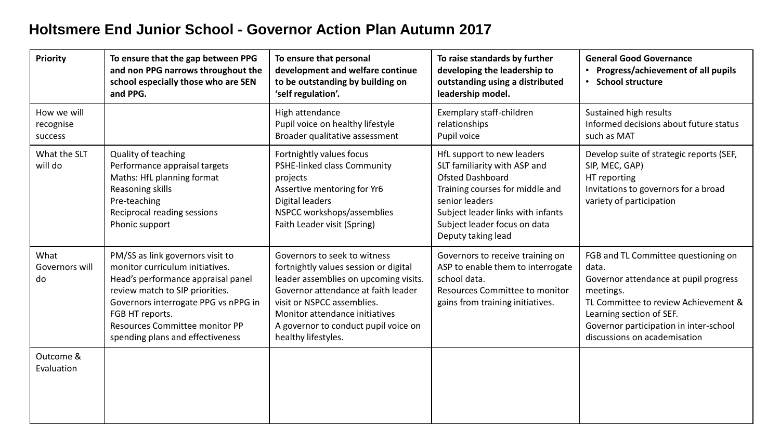## **Holtsmere End Junior School - Governor Action Plan Autumn 2017**

| Priority                            | To ensure that the gap between PPG<br>and non PPG narrows throughout the<br>school especially those who are SEN<br>and PPG.                                                                                                                                                   | To ensure that personal<br>development and welfare continue<br>to be outstanding by building on<br>'self regulation'.                                                                                                                                                                | To raise standards by further<br>developing the leadership to<br>outstanding using a distributed<br>leadership model.                                                                                                                 | <b>General Good Governance</b><br>Progress/achievement of all pupils<br><b>School structure</b><br>$\bullet$                                                                                                                                     |
|-------------------------------------|-------------------------------------------------------------------------------------------------------------------------------------------------------------------------------------------------------------------------------------------------------------------------------|--------------------------------------------------------------------------------------------------------------------------------------------------------------------------------------------------------------------------------------------------------------------------------------|---------------------------------------------------------------------------------------------------------------------------------------------------------------------------------------------------------------------------------------|--------------------------------------------------------------------------------------------------------------------------------------------------------------------------------------------------------------------------------------------------|
| How we will<br>recognise<br>success |                                                                                                                                                                                                                                                                               | High attendance<br>Pupil voice on healthy lifestyle<br>Broader qualitative assessment                                                                                                                                                                                                | Exemplary staff-children<br>relationships<br>Pupil voice                                                                                                                                                                              | Sustained high results<br>Informed decisions about future status<br>such as MAT                                                                                                                                                                  |
| What the SLT<br>will do             | Quality of teaching<br>Performance appraisal targets<br>Maths: HfL planning format<br>Reasoning skills<br>Pre-teaching<br>Reciprocal reading sessions<br>Phonic support                                                                                                       | Fortnightly values focus<br>PSHE-linked class Community<br>projects<br>Assertive mentoring for Yr6<br>Digital leaders<br>NSPCC workshops/assemblies<br>Faith Leader visit (Spring)                                                                                                   | HfL support to new leaders<br>SLT familiarity with ASP and<br><b>Ofsted Dashboard</b><br>Training courses for middle and<br>senior leaders<br>Subject leader links with infants<br>Subject leader focus on data<br>Deputy taking lead | Develop suite of strategic reports (SEF,<br>SIP, MEC, GAP)<br>HT reporting<br>Invitations to governors for a broad<br>variety of participation                                                                                                   |
| What<br>Governors will<br>do        | PM/SS as link governors visit to<br>monitor curriculum initiatives.<br>Head's performance appraisal panel<br>review match to SIP priorities.<br>Governors interrogate PPG vs nPPG in<br>FGB HT reports.<br>Resources Committee monitor PP<br>spending plans and effectiveness | Governors to seek to witness<br>fortnightly values session or digital<br>leader assemblies on upcoming visits.<br>Governor attendance at faith leader<br>visit or NSPCC assemblies.<br>Monitor attendance initiatives<br>A governor to conduct pupil voice on<br>healthy lifestyles. | Governors to receive training on<br>ASP to enable them to interrogate<br>school data.<br>Resources Committee to monitor<br>gains from training initiatives.                                                                           | FGB and TL Committee questioning on<br>data.<br>Governor attendance at pupil progress<br>meetings.<br>TL Committee to review Achievement &<br>Learning section of SEF.<br>Governor participation in inter-school<br>discussions on academisation |
| Outcome &<br>Evaluation             |                                                                                                                                                                                                                                                                               |                                                                                                                                                                                                                                                                                      |                                                                                                                                                                                                                                       |                                                                                                                                                                                                                                                  |